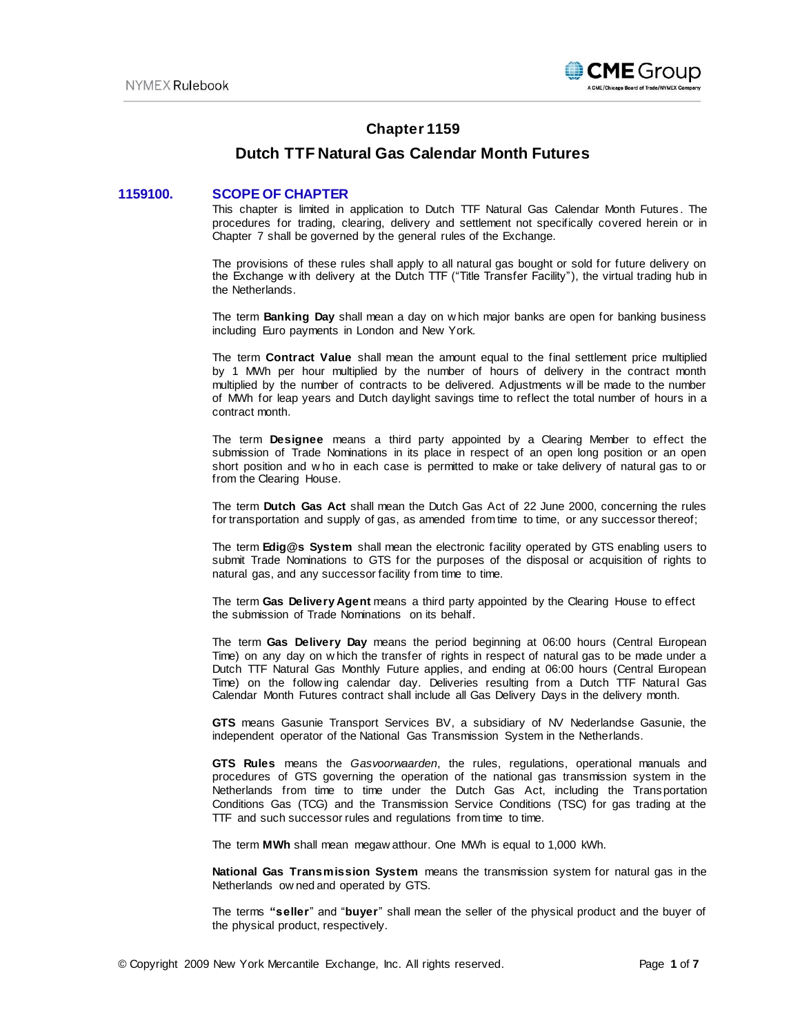

# **Chapter 1159**

# **Dutch TTF Natural Gas Calendar Month Futures**

# **1159100. SCOPE OF CHAPTER**

This chapter is limited in application to Dutch TTF Natural Gas Calendar Month Futures . The procedures for trading, clearing, delivery and settlement not specifically covered herein or in Chapter 7 shall be governed by the general rules of the Exchange.

The provisions of these rules shall apply to all natural gas bought or sold for future delivery on the Exchange w ith delivery at the Dutch TTF ("Title Transfer Facility"), the virtual trading hub in the Netherlands.

The term **Banking Day** shall mean a day on w hich major banks are open for banking business including Euro payments in London and New York.

The term **Contract Value** shall mean the amount equal to the final settlement price multiplied by 1 MWh per hour multiplied by the number of hours of delivery in the contract month multiplied by the number of contracts to be delivered. Adjustments w ill be made to the number of MWh for leap years and Dutch daylight savings time to reflect the total number of hours in a contract month.

The term **Designee** means a third party appointed by a Clearing Member to effect the submission of Trade Nominations in its place in respect of an open long position or an open short position and w ho in each case is permitted to make or take delivery of natural gas to or from the Clearing House.

The term **Dutch Gas Act** shall mean the Dutch Gas Act of 22 June 2000, concerning the rules for transportation and supply of gas, as amended from time to time, or any successor thereof;

The term **Edig@s System** shall mean the electronic facility operated by GTS enabling users to submit Trade Nominations to GTS for the purposes of the disposal or acquisition of rights to natural gas, and any successor facility from time to time.

The term **Gas Delivery Agent** means a third party appointed by the Clearing House to effect the submission of Trade Nominations on its behalf.

The term **Gas Delivery Day** means the period beginning at 06:00 hours (Central European Time) on any day on w hich the transfer of rights in respect of natural gas to be made under a Dutch TTF Natural Gas Monthly Future applies, and ending at 06:00 hours (Central European Time) on the follow ing calendar day. Deliveries resulting from a Dutch TTF Natural Gas Calendar Month Futures contract shall include all Gas Delivery Days in the delivery month.

**GTS** means Gasunie Transport Services BV, a subsidiary of NV Nederlandse Gasunie, the independent operator of the National Gas Transmission System in the Netherlands.

**GTS Rules** means the *Gasvoorwaarden*, the rules, regulations, operational manuals and procedures of GTS governing the operation of the national gas transmission system in the Netherlands from time to time under the Dutch Gas Act, including the Transportation Conditions Gas (TCG) and the Transmission Service Conditions (TSC) for gas trading at the TTF and such successor rules and regulations from time to time.

The term **MWh** shall mean megaw atthour. One MWh is equal to 1,000 kWh.

**National Gas Transmission System** means the transmission system for natural gas in the Netherlands ow ned and operated by GTS.

The terms **"seller**" and "**buyer**" shall mean the seller of the physical product and the buyer of the physical product, respectively.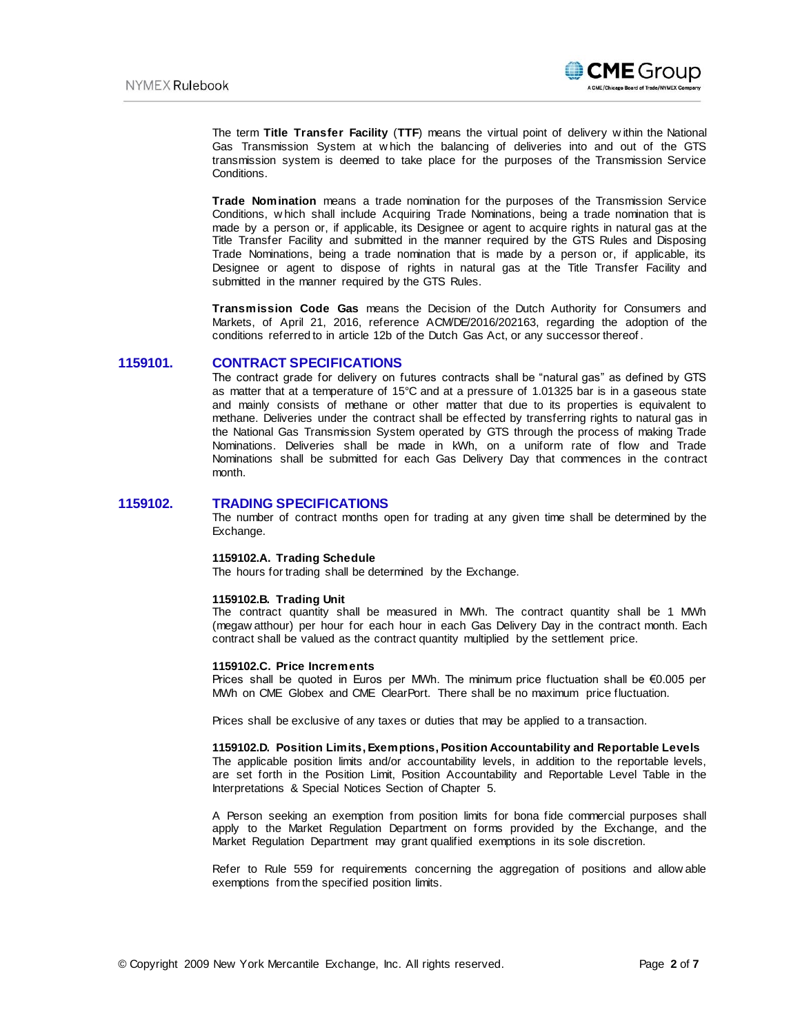

The term **Title Transfer Facility** (**TTF**) means the virtual point of delivery w ithin the National Gas Transmission System at w hich the balancing of deliveries into and out of the GTS transmission system is deemed to take place for the purposes of the Transmission Service Conditions.

**Trade Nomination** means a trade nomination for the purposes of the Transmission Service Conditions, w hich shall include Acquiring Trade Nominations, being a trade nomination that is made by a person or, if applicable, its Designee or agent to acquire rights in natural gas at the Title Transfer Facility and submitted in the manner required by the GTS Rules and Disposing Trade Nominations, being a trade nomination that is made by a person or, if applicable, its Designee or agent to dispose of rights in natural gas at the Title Transfer Facility and submitted in the manner required by the GTS Rules.

**Transmission Code Gas** means the Decision of the Dutch Authority for Consumers and Markets, of April 21, 2016, reference ACM/DE/2016/202163, regarding the adoption of the conditions referred to in article 12b of the Dutch Gas Act, or any successor thereof .

### **1159101. CONTRACT SPECIFICATIONS**

The contract grade for delivery on futures contracts shall be "natural gas" as defined by GTS as matter that at a temperature of 15°C and at a pressure of 1.01325 bar is in a gaseous state and mainly consists of methane or other matter that due to its properties is equivalent to methane. Deliveries under the contract shall be effected by transferring rights to natural gas in the National Gas Transmission System operated by GTS through the process of making Trade Nominations. Deliveries shall be made in kWh, on a uniform rate of flow and Trade Nominations shall be submitted for each Gas Delivery Day that commences in the contract month.

### **1159102. TRADING SPECIFICATIONS**

The number of contract months open for trading at any given time shall be determined by the Exchange.

#### **1159102.A. Trading Schedule**

The hours for trading shall be determined by the Exchange.

#### **1159102.B. Trading Unit**

The contract quantity shall be measured in MWh. The contract quantity shall be 1 MWh (megaw atthour) per hour for each hour in each Gas Delivery Day in the contract month. Each contract shall be valued as the contract quantity multiplied by the settlement price.

#### **1159102.C. Price Increments**

Prices shall be quoted in Euros per MWh. The minimum price fluctuation shall be €0.005 per MWh on CME Globex and CME ClearPort. There shall be no maximum price fluctuation.

Prices shall be exclusive of any taxes or duties that may be applied to a transaction.

#### **1159102.D. Position Limits, Exemptions, Position Accountability and Reportable Levels**

The applicable position limits and/or accountability levels, in addition to the reportable levels, are set forth in the Position Limit, Position Accountability and Reportable Level Table in the Interpretations & Special Notices Section of Chapter 5.

A Person seeking an exemption from position limits for bona fide commercial purposes shall apply to the Market Regulation Department on forms provided by the Exchange, and the Market Regulation Department may grant qualified exemptions in its sole discretion.

Refer to Rule 559 for requirements concerning the aggregation of positions and allow able exemptions from the specified position limits.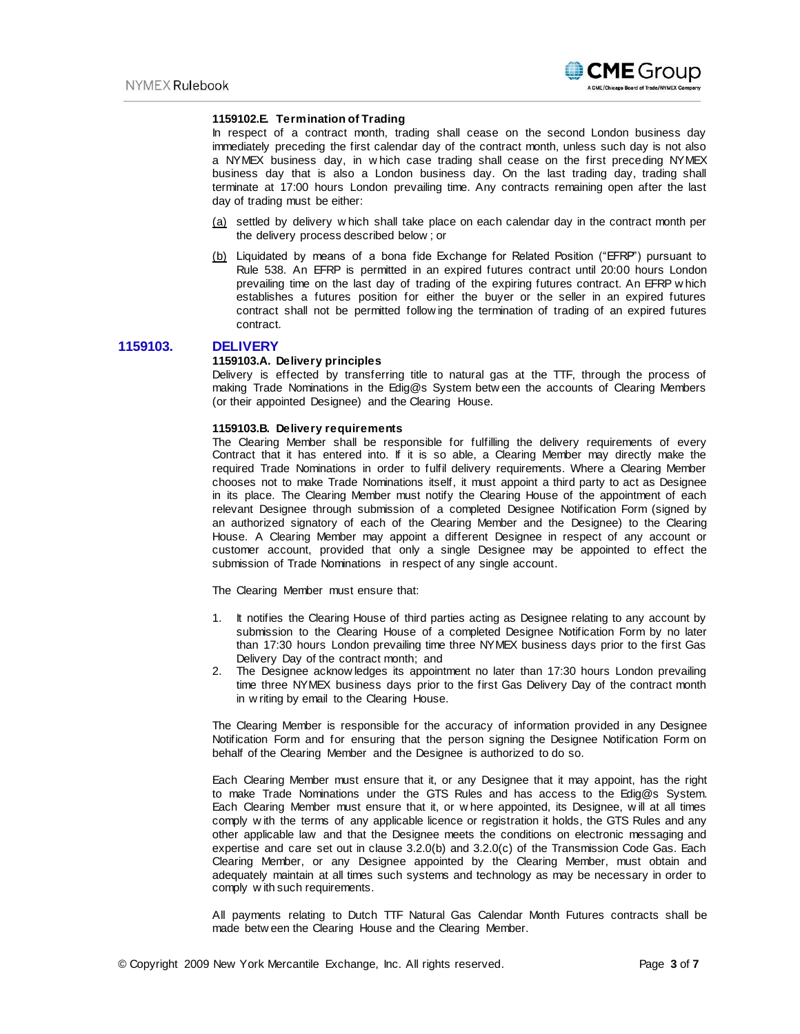

#### **1159102.E. Termination of Trading**

In respect of a contract month, trading shall cease on the second London business day immediately preceding the first calendar day of the contract month, unless such day is not also a NYMEX business day, in w hich case trading shall cease on the first preceding NYMEX business day that is also a London business day. On the last trading day, trading shall terminate at 17:00 hours London prevailing time. Any contracts remaining open after the last day of trading must be either:

- (a) settled by delivery w hich shall take place on each calendar day in the contract month per the delivery process described below ; or
- (b) Liquidated by means of a bona fide Exchange for Related Position ("EFRP") pursuant to Rule 538. An EFRP is permitted in an expired futures contract until 20:00 hours London prevailing time on the last day of trading of the expiring futures contract. An EFRP w hich establishes a futures position for either the buyer or the seller in an expired futures contract shall not be permitted follow ing the termination of trading of an expired futures contract.

**1159103. DELIVERY** 

#### **1159103.A. Delivery principles**

Delivery is effected by transferring title to natural gas at the TTF, through the process of making Trade Nominations in the Edig@s System betw een the accounts of Clearing Members (or their appointed Designee) and the Clearing House.

#### **1159103.B. Delivery requirements**

The Clearing Member shall be responsible for fulfilling the delivery requirements of every Contract that it has entered into. If it is so able, a Clearing Member may directly make the required Trade Nominations in order to fulfil delivery requirements. Where a Clearing Member chooses not to make Trade Nominations itself, it must appoint a third party to act as Designee in its place. The Clearing Member must notify the Clearing House of the appointment of each relevant Designee through submission of a completed Designee Notification Form (signed by an authorized signatory of each of the Clearing Member and the Designee) to the Clearing House. A Clearing Member may appoint a different Designee in respect of any account or customer account, provided that only a single Designee may be appointed to effect the submission of Trade Nominations in respect of any single account.

The Clearing Member must ensure that:

- 1. It notifies the Clearing House of third parties acting as Designee relating to any account by submission to the Clearing House of a completed Designee Notification Form by no later than 17:30 hours London prevailing time three NYMEX business days prior to the first Gas Delivery Day of the contract month; and
- 2. The Designee acknow ledges its appointment no later than 17:30 hours London prevailing time three NYMEX business days prior to the first Gas Delivery Day of the contract month in w riting by email t[o the](mailto:clearinghousedelivteam@cmegroup.com) Clearing House.

The Clearing Member is responsible for the accuracy of information provided in any Designee Notification Form and for ensuring that the person signing the Designee Notification Form on behalf of the Clearing Member and the Designee is authorized to do so.

Each Clearing Member must ensure that it, or any Designee that it may appoint, has the right to make Trade Nominations under the GTS Rules and has access to the Edig@s System. Each Clearing Member must ensure that it, or w here appointed, its Designee, w ill at all times comply w ith the terms of any applicable licence or registration it holds, the GTS Rules and any other applicable law and that the Designee meets the conditions on electronic messaging and expertise and care set out in clause  $3.2.0(b)$  and  $3.2.0(c)$  of the Transmission Code Gas. Each Clearing Member, or any Designee appointed by the Clearing Member, must obtain and adequately maintain at all times such systems and technology as may be necessary in order to comply w ith such requirements.

All payments relating to Dutch TTF Natural Gas Calendar Month Futures contracts shall be made betw een the Clearing House and the Clearing Member.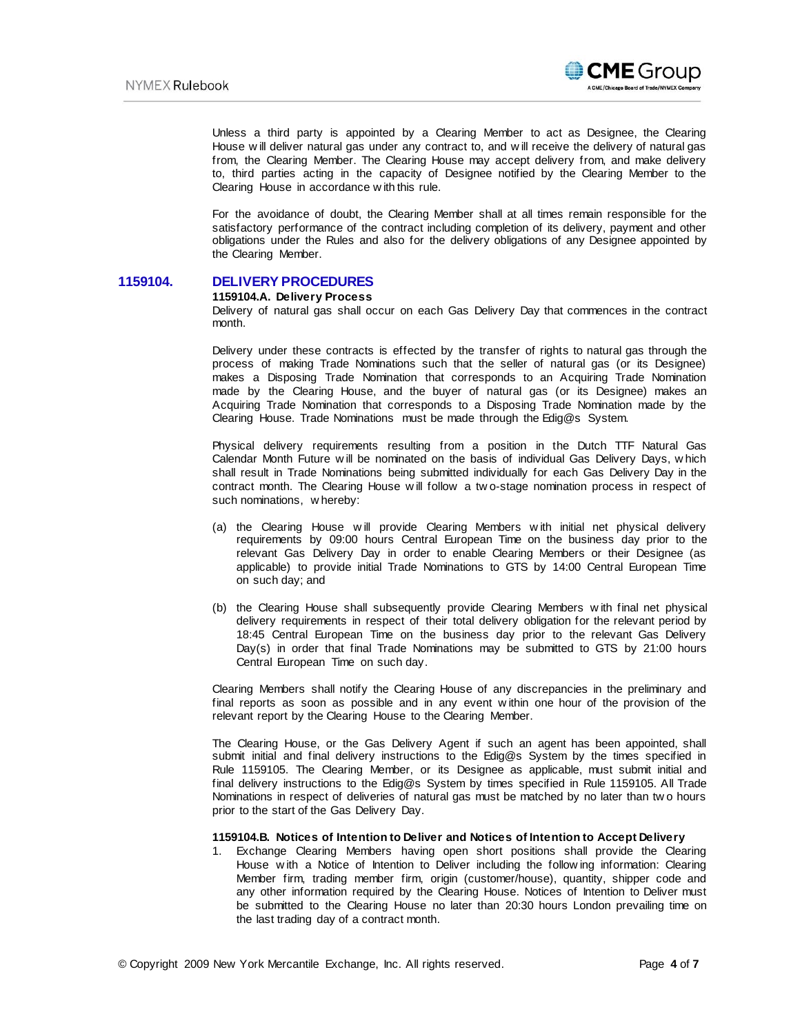

Unless a third party is appointed by a Clearing Member to act as Designee, the Clearing House w ill deliver natural gas under any contract to, and w ill receive the delivery of natural gas from, the Clearing Member. The Clearing House may accept delivery from, and make delivery to, third parties acting in the capacity of Designee notified by the Clearing Member to the Clearing House in accordance w ith this rule.

For the avoidance of doubt, the Clearing Member shall at all times remain responsible for the satisfactory performance of the contract including completion of its delivery, payment and other obligations under the Rules and also for the delivery obligations of any Designee appointed by the Clearing Member.

# **1159104. DELIVERY PROCEDURES**

### **1159104.A. Delivery Process**

Delivery of natural gas shall occur on each Gas Delivery Day that commences in the contract month.

Delivery under these contracts is effected by the transfer of rights to natural gas through the process of making Trade Nominations such that the seller of natural gas (or its Designee) makes a Disposing Trade Nomination that corresponds to an Acquiring Trade Nomination made by the Clearing House, and the buyer of natural gas (or its Designee) makes an Acquiring Trade Nomination that corresponds to a Disposing Trade Nomination made by the Clearing House. Trade Nominations must be made through the Edig@s System.

Physical delivery requirements resulting from a position in the Dutch TTF Natural Gas Calendar Month Future w ill be nominated on the basis of individual Gas Delivery Days, w hich shall result in Trade Nominations being submitted individually for each Gas Delivery Day in the contract month. The Clearing House w ill follow a tw o-stage nomination process in respect of such nominations, w hereby:

- (a) the Clearing House w ill provide Clearing Members w ith initial net physical delivery requirements by 09:00 hours Central European Time on the business day prior to the relevant Gas Delivery Day in order to enable Clearing Members or their Designee (as applicable) to provide initial Trade Nominations to GTS by 14:00 Central European Time on such day; and
- (b) the Clearing House shall subsequently provide Clearing Members w ith final net physical delivery requirements in respect of their total delivery obligation for the relevant period by 18:45 Central European Time on the business day prior to the relevant Gas Delivery Day(s) in order that final Trade Nominations may be submitted to GTS by 21:00 hours Central European Time on such day.

Clearing Members shall notify the Clearing House of any discrepancies in the preliminary and final reports as soon as possible and in any event w ithin one hour of the provision of the relevant report by the Clearing House to the Clearing Member.

The Clearing House, or the Gas Delivery Agent if such an agent has been appointed, shall submit initial and final delivery instructions to the Edig@s System by the times specified in Rule 1159105. The Clearing Member, or its Designee as applicable, must submit initial and final delivery instructions to the Edig@s System by times specified in Rule 1159105. All Trade Nominations in respect of deliveries of natural gas must be matched by no later than tw o hours prior to the start of the Gas Delivery Day.

#### **1159104.B. Notices of Intention to Deliver and Notices of Intention to Accept Delivery**

1. Exchange Clearing Members having open short positions shall provide the Clearing House w ith a Notice of Intention to Deliver including the follow ing information: Clearing Member firm, trading member firm, origin (customer/house), quantity, shipper code and any other information required by the Clearing House. Notices of Intention to Deliver must be submitted to the Clearing House no later than 20:30 hours London prevailing time on the last trading day of a contract month.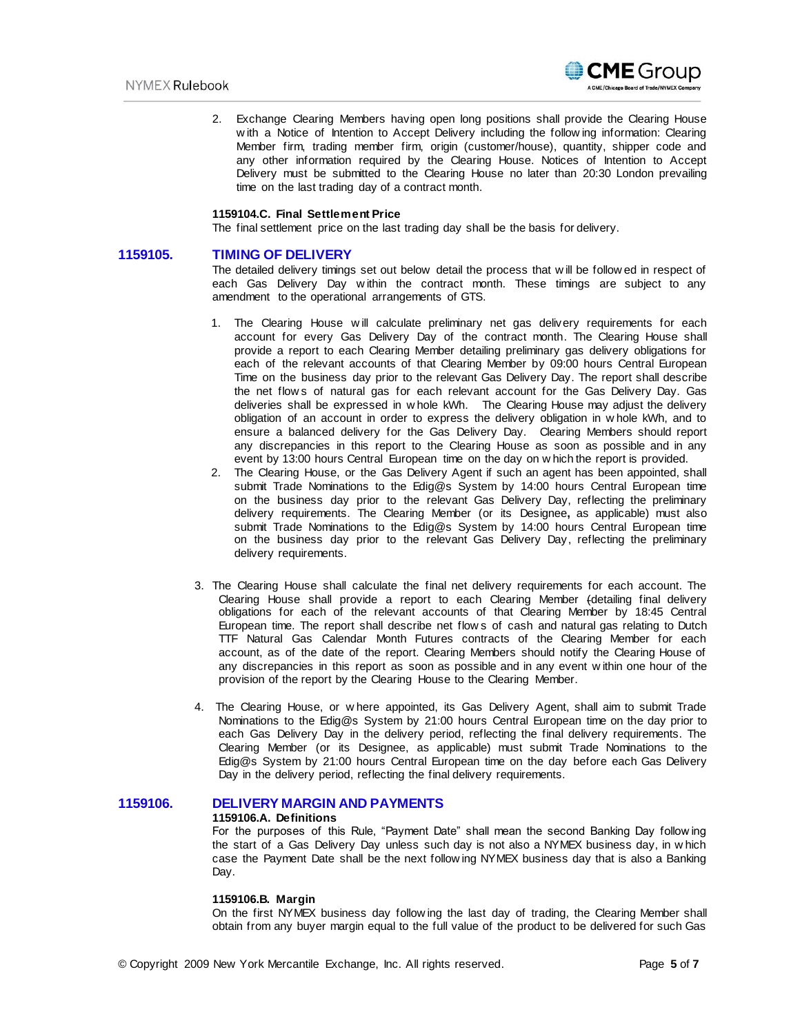

2. Exchange Clearing Members having open long positions shall provide the Clearing House w ith a Notice of Intention to Accept Delivery including the follow ing information: Clearing Member firm, trading member firm, origin (customer/house), quantity, shipper code and any other information required by the Clearing House. Notices of Intention to Accept Delivery must be submitted to the Clearing House no later than 20:30 London prevailing time on the last trading day of a contract month.

### **1159104.C. Final Settlement Price**

The final settlement price on the last trading day shall be the basis for delivery.

#### **1159105. TIMING OF DELIVERY**

The detailed delivery timings set out below detail the process that w ill be follow ed in respect of each Gas Delivery Day w ithin the contract month. These timings are subject to any amendment to the operational arrangements of GTS.

- 1. The Clearing House w ill calculate preliminary net gas delivery requirements for each account for every Gas Delivery Day of the contract month. The Clearing House shall provide a report to each Clearing Member detailing preliminary gas delivery obligations for each of the relevant accounts of that Clearing Member by 09:00 hours Central European Time on the business day prior to the relevant Gas Delivery Day. The report shall describe the net flow s of natural gas for each relevant account for the Gas Delivery Day. Gas deliveries shall be expressed in w hole kWh. The Clearing House may adjust the delivery obligation of an account in order to express the delivery obligation in w hole kWh, and to ensure a balanced delivery for the Gas Delivery Day. Clearing Members should report any discrepancies in this report to the Clearing House as soon as possible and in any event by 13:00 hours Central European time on the day on w hich the report is provided.
- 2. The Clearing House, or the Gas Delivery Agent if such an agent has been appointed, shall submit Trade Nominations to the Edig@s System by 14:00 hours Central European time on the business day prior to the relevant Gas Delivery Day, reflecting the preliminary delivery requirements. The Clearing Member (or its Designee**,** as applicable) must also submit Trade Nominations to the Edig@s System by 14:00 hours Central European time on the business day prior to the relevant Gas Delivery Day, reflecting the preliminary delivery requirements.
- 3. The Clearing House shall calculate the final net delivery requirements for each account. The Clearing House shall provide a report to each Clearing Member (detailing final delivery obligations for each of the relevant accounts of that Clearing Member by 18:45 Central European time. The report shall describe net flow s of cash and natural gas relating to Dutch TTF Natural Gas Calendar Month Futures contracts of the Clearing Member for each account, as of the date of the report. Clearing Members should notify the Clearing House of any discrepancies in this report as soon as possible and in any event w ithin one hour of the provision of the report by the Clearing House to the Clearing Member.
- 4. The Clearing House, or w here appointed, its Gas Delivery Agent, shall aim to submit Trade Nominations to the Edig@s System by 21:00 hours Central European time on the day prior to each Gas Delivery Day in the delivery period, reflecting the final delivery requirements. The Clearing Member (or its Designee, as applicable) must submit Trade Nominations to the Edig@s System by 21:00 hours Central European time on the day before each Gas Delivery Day in the delivery period, reflecting the final delivery requirements.

# **1159106. DELIVERY MARGIN AND PAYMENTS**

### **1159106.A. Definitions**

For the purposes of this Rule, "Payment Date" shall mean the second Banking Day follow ing the start of a Gas Delivery Day unless such day is not also a NYMEX business day, in w hich case the Payment Date shall be the next follow ing NYMEX business day that is also a Banking Day.

#### **1159106.B. Margin**

On the first NYMEX business day follow ing the last day of trading, the Clearing Member shall obtain from any buyer margin equal to the full value of the product to be delivered for such Gas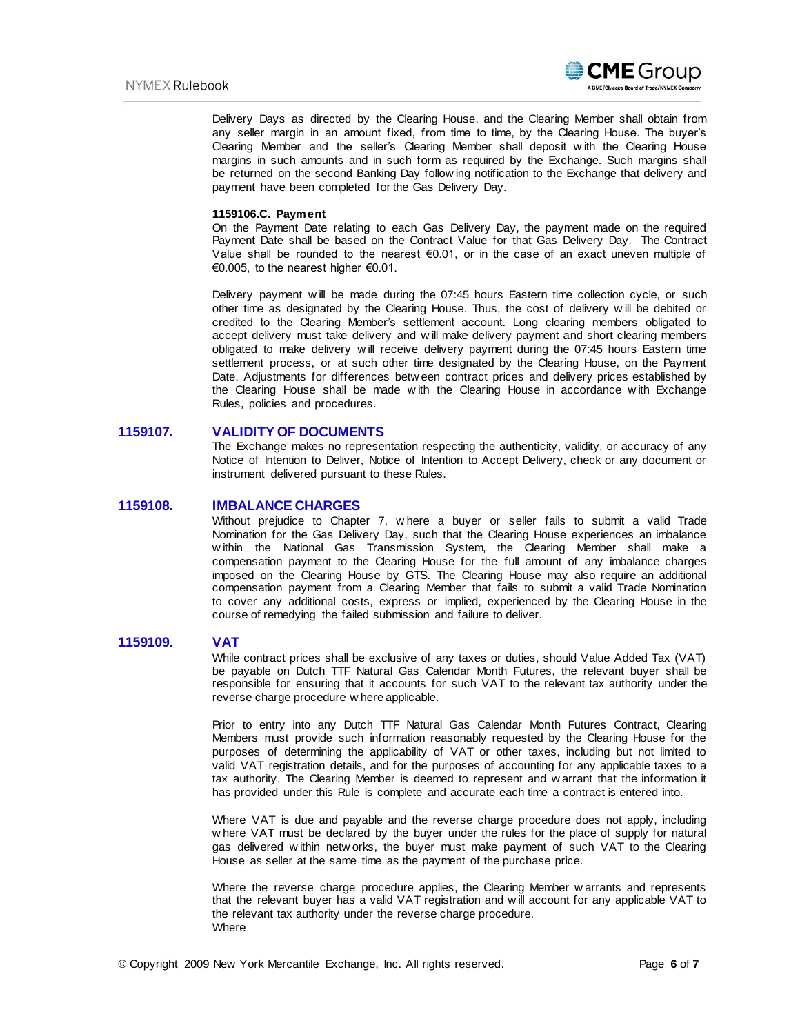

Delivery Days as directed by the Clearing House, and the Clearing Member shall obtain from any seller margin in an amount fixed, from time to time, by the Clearing House. The buyer's Clearing Member and the seller's Clearing Member shall deposit w ith the Clearing House margins in such amounts and in such form as required by the Exchange. Such margins shall be returned on the second Banking Day follow ing notification to the Exchange that delivery and payment have been completed for the Gas Delivery Day.

### **1159106.C. Payment**

On the Payment Date relating to each Gas Delivery Day, the payment made on the required Payment Date shall be based on the Contract Value for that Gas Delivery Day. The Contract Value shall be rounded to the nearest  $€0.01$ , or in the case of an exact uneven multiple of €0.005, to the nearest higher €0.01.

Delivery payment will be made during the 07:45 hours Eastern time collection cycle, or such other time as designated by the Clearing House. Thus, the cost of delivery w ill be debited or credited to the Clearing Member's settlement account. Long clearing members obligated to accept delivery must take delivery and w ill make delivery payment and short clearing members obligated to make delivery w ill receive delivery payment during the 07:45 hours Eastern time settlement process, or at such other time designated by the Clearing House, on the Payment Date. Adjustments for differences betw een contract prices and delivery prices established by the Clearing House shall be made w ith the Clearing House in accordance w ith Exchange Rules, policies and procedures.

# **1159107. VALIDITY OF DOCUMENTS**

The Exchange makes no representation respecting the authenticity, validity, or accuracy of any Notice of Intention to Deliver, Notice of Intention to Accept Delivery, check or any document or instrument delivered pursuant to these Rules.

### **1159108. IMBALANCE CHARGES**

Without prejudice to Chapter 7, w here a buyer or seller fails to submit a valid Trade Nomination for the Gas Delivery Day, such that the Clearing House experiences an imbalance w ithin the National Gas Transmission System, the Clearing Member shall make a compensation payment to the Clearing House for the full amount of any imbalance charges imposed on the Clearing House by GTS. The Clearing House may also require an additional compensation payment from a Clearing Member that fails to submit a valid Trade Nomination to cover any additional costs, express or implied, experienced by the Clearing House in the course of remedying the failed submission and failure to deliver.

#### **1159109. VAT**

While contract prices shall be exclusive of any taxes or duties, should Value Added Tax (VAT) be payable on Dutch TTF Natural Gas Calendar Month Futures, the relevant buyer shall be responsible for ensuring that it accounts for such VAT to the relevant tax authority under the reverse charge procedure w here applicable.

Prior to entry into any Dutch TTF Natural Gas Calendar Month Futures Contract, Clearing Members must provide such information reasonably requested by the Clearing House for the purposes of determining the applicability of VAT or other taxes, including but not limited to valid VAT registration details, and for the purposes of accounting for any applicable taxes to a tax authority. The Clearing Member is deemed to represent and w arrant that the information it has provided under this Rule is complete and accurate each time a contract is entered into.

Where VAT is due and payable and the reverse charge procedure does not apply, including w here VAT must be declared by the buyer under the rules for the place of supply for natural gas delivered w ithin netw orks, the buyer must make payment of such VAT to the Clearing House as seller at the same time as the payment of the purchase price.

Where the reverse charge procedure applies, the Clearing Member w arrants and represents that the relevant buyer has a valid VAT registration and w ill account for any applicable VAT to the relevant tax authority under the reverse charge procedure. Where